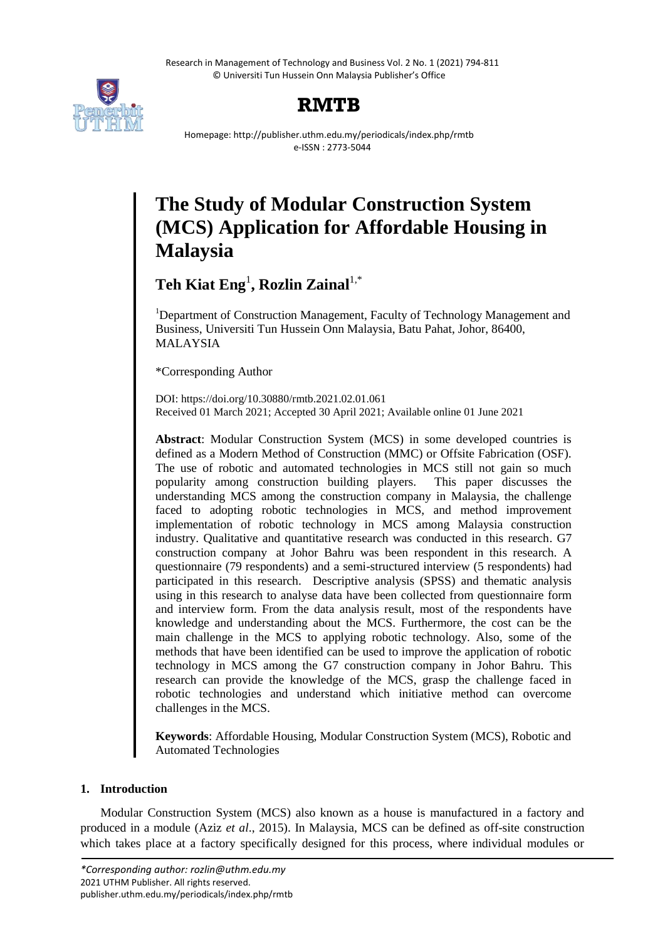Research in Management of Technology and Business Vol. 2 No. 1 (2021) 794-811 © Universiti Tun Hussein Onn Malaysia Publisher's Office



# **RMTB**

Homepage: http://publisher.uthm.edu.my/periodicals/index.php/rmtb e-ISSN : 2773-5044

# **The Study of Modular Construction System (MCS) Application for Affordable Housing in Malaysia**

 $\text{Teh Kiat Eng}^1$ , Rozlin Zainal<sup>1,\*</sup>

<sup>1</sup>Department of Construction Management, Faculty of Technology Management and Business, Universiti Tun Hussein Onn Malaysia, Batu Pahat, Johor, 86400, MALAYSIA

\*Corresponding Author

DOI: https://doi.org/10.30880/rmtb.2021.02.01.061 Received 01 March 2021; Accepted 30 April 2021; Available online 01 June 2021

**Abstract**: Modular Construction System (MCS) in some developed countries is defined as a Modern Method of Construction (MMC) or Offsite Fabrication (OSF). The use of robotic and automated technologies in MCS still not gain so much popularity among construction building players. This paper discusses the understanding MCS among the construction company in Malaysia, the challenge faced to adopting robotic technologies in MCS, and method improvement implementation of robotic technology in MCS among Malaysia construction industry. Qualitative and quantitative research was conducted in this research. G7 construction company at Johor Bahru was been respondent in this research. A questionnaire (79 respondents) and a semi-structured interview (5 respondents) had participated in this research. Descriptive analysis (SPSS) and thematic analysis using in this research to analyse data have been collected from questionnaire form and interview form. From the data analysis result, most of the respondents have knowledge and understanding about the MCS. Furthermore, the cost can be the main challenge in the MCS to applying robotic technology. Also, some of the methods that have been identified can be used to improve the application of robotic technology in MCS among the G7 construction company in Johor Bahru. This research can provide the knowledge of the MCS, grasp the challenge faced in robotic technologies and understand which initiative method can overcome challenges in the MCS.

**Keywords**: Affordable Housing, Modular Construction System (MCS), Robotic and Automated Technologies

# **1. Introduction**

Modular Construction System (MCS) also known as a house is manufactured in a factory and produced in a module (Aziz *et al*., 2015). In Malaysia, MCS can be defined as off-site construction which takes place at a factory specifically designed for this process, where individual modules or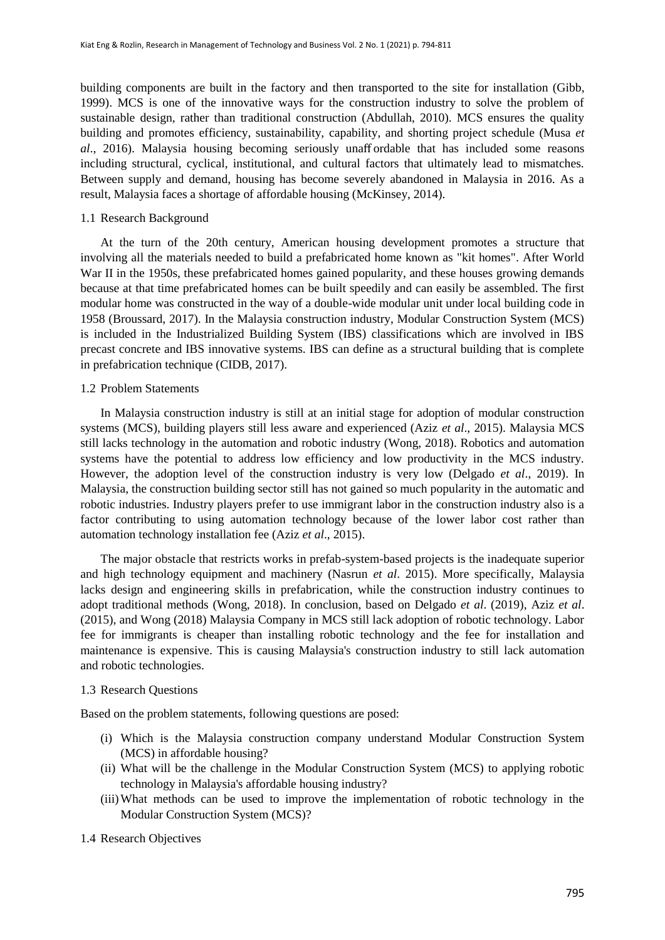building components are built in the factory and then transported to the site for installation (Gibb, 1999). MCS is one of the innovative ways for the construction industry to solve the problem of sustainable design, rather than traditional construction (Abdullah, 2010). MCS ensures the quality building and promotes efficiency, sustainability, capability, and shorting project schedule (Musa *et al*., 2016). Malaysia housing becoming seriously unaff ordable that has included some reasons including structural, cyclical, institutional, and cultural factors that ultimately lead to mismatches. Between supply and demand, housing has become severely abandoned in Malaysia in 2016. As a result, Malaysia faces a shortage of affordable housing (McKinsey, 2014).

## 1.1 Research Background

At the turn of the 20th century, American housing development promotes a structure that involving all the materials needed to build a prefabricated home known as "kit homes". After World War II in the 1950s, these prefabricated homes gained popularity, and these houses growing demands because at that time prefabricated homes can be built speedily and can easily be assembled. The first modular home was constructed in the way of a double-wide modular unit under local building code in 1958 (Broussard, 2017). In the Malaysia construction industry, Modular Construction System (MCS) is included in the Industrialized Building System (IBS) classifications which are involved in IBS precast concrete and IBS innovative systems. IBS can define as a structural building that is complete in prefabrication technique (CIDB, 2017).

## 1.2 Problem Statements

In Malaysia construction industry is still at an initial stage for adoption of modular construction systems (MCS), building players still less aware and experienced (Aziz *et al*., 2015). Malaysia MCS still lacks technology in the automation and robotic industry (Wong, 2018). Robotics and automation systems have the potential to address low efficiency and low productivity in the MCS industry. However, the adoption level of the construction industry is very low (Delgado *et al*., 2019). In Malaysia, the construction building sector still has not gained so much popularity in the automatic and robotic industries. Industry players prefer to use immigrant labor in the construction industry also is a factor contributing to using automation technology because of the lower labor cost rather than automation technology installation fee (Aziz *et al*., 2015).

The major obstacle that restricts works in prefab-system-based projects is the inadequate superior and high technology equipment and machinery (Nasrun *et al*. 2015). More specifically, Malaysia lacks design and engineering skills in prefabrication, while the construction industry continues to adopt traditional methods (Wong, 2018). In conclusion, based on Delgado *et al*. (2019), Aziz *et al*. (2015), and Wong (2018) Malaysia Company in MCS still lack adoption of robotic technology. Labor fee for immigrants is cheaper than installing robotic technology and the fee for installation and maintenance is expensive. This is causing Malaysia's construction industry to still lack automation and robotic technologies.

# 1.3 Research Questions

Based on the problem statements, following questions are posed:

- (i) Which is the Malaysia construction company understand Modular Construction System (MCS) in affordable housing?
- (ii) What will be the challenge in the Modular Construction System (MCS) to applying robotic technology in Malaysia's affordable housing industry?
- (iii)What methods can be used to improve the implementation of robotic technology in the Modular Construction System (MCS)?

1.4 Research Objectives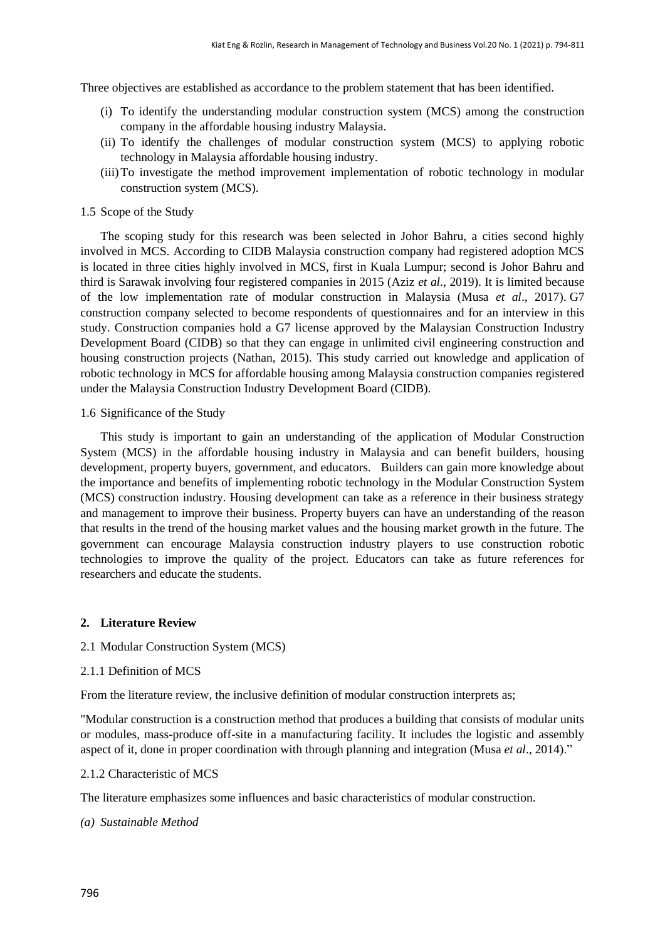Three objectives are established as accordance to the problem statement that has been identified.

- (i) To identify the understanding modular construction system (MCS) among the construction company in the affordable housing industry Malaysia.
- (ii) To identify the challenges of modular construction system (MCS) to applying robotic technology in Malaysia affordable housing industry.
- (iii)To investigate the method improvement implementation of robotic technology in modular construction system (MCS).

## 1.5 Scope of the Study

The scoping study for this research was been selected in Johor Bahru, a cities second highly involved in MCS. According to CIDB Malaysia construction company had registered adoption MCS is located in three cities highly involved in MCS, first in Kuala Lumpur; second is Johor Bahru and third is Sarawak involving four registered companies in 2015 (Aziz *et al*., 2019). It is limited because of the low implementation rate of modular construction in Malaysia (Musa *et al*., 2017). G7 construction company selected to become respondents of questionnaires and for an interview in this study. Construction companies hold a G7 license approved by the Malaysian Construction Industry Development Board (CIDB) so that they can engage in unlimited civil engineering construction and housing construction projects (Nathan, 2015). This study carried out knowledge and application of robotic technology in MCS for affordable housing among Malaysia construction companies registered under the Malaysia Construction Industry Development Board (CIDB).

## 1.6 Significance of the Study

This study is important to gain an understanding of the application of Modular Construction System (MCS) in the affordable housing industry in Malaysia and can benefit builders, housing development, property buyers, government, and educators. Builders can gain more knowledge about the importance and benefits of implementing robotic technology in the Modular Construction System (MCS) construction industry. Housing development can take as a reference in their business strategy and management to improve their business. Property buyers can have an understanding of the reason that results in the trend of the housing market values and the housing market growth in the future. The government can encourage Malaysia construction industry players to use construction robotic technologies to improve the quality of the project. Educators can take as future references for researchers and educate the students.

# **2. Literature Review**

# 2.1 Modular Construction System (MCS)

## 2.1.1 Definition of MCS

From the literature review, the inclusive definition of modular construction interprets as;

"Modular construction is a construction method that produces a building that consists of modular units or modules, mass-produce off-site in a manufacturing facility. It includes the logistic and assembly aspect of it, done in proper coordination with through planning and integration (Musa *et al*., 2014)."

## 2.1.2 Characteristic of MCS

The literature emphasizes some influences and basic characteristics of modular construction.

# *(a) Sustainable Method*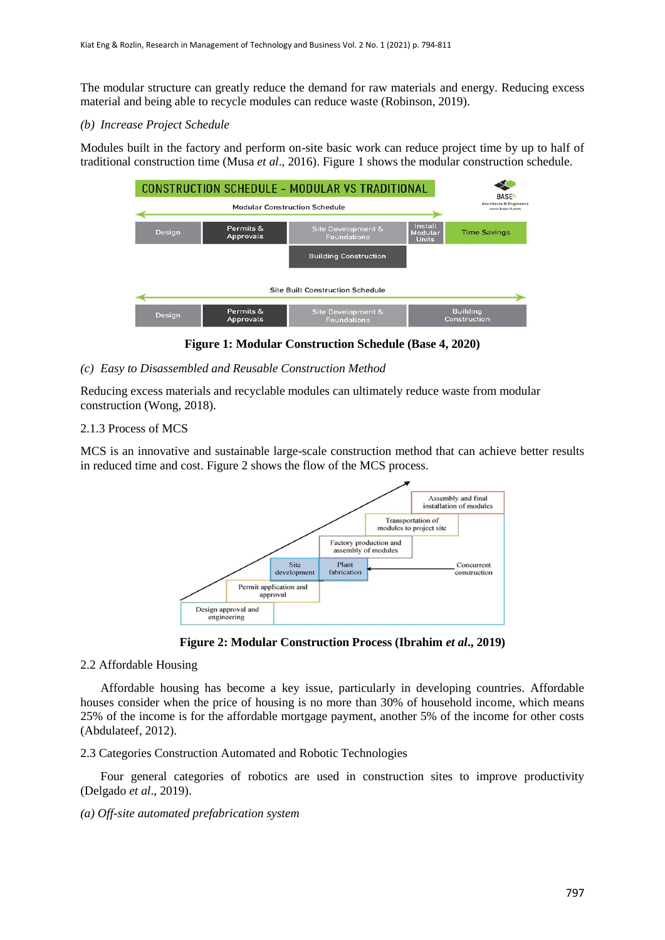The modular structure can greatly reduce the demand for raw materials and energy. Reducing excess material and being able to recycle modules can reduce waste (Robinson, 2019).

## *(b) Increase Project Schedule*

Modules built in the factory and perform on-site basic work can reduce project time by up to half of traditional construction time (Musa *et al*., 2016). Figure 1 shows the modular construction schedule.



**Figure 1: Modular Construction Schedule (Base 4, 2020)**

## *(c) Easy to Disassembled and Reusable Construction Method*

Reducing excess materials and recyclable modules can ultimately reduce waste from modular construction (Wong, 2018).

## 2.1.3 Process of MCS

MCS is an innovative and sustainable large-scale construction method that can achieve better results in reduced time and cost. Figure 2 shows the flow of the MCS process.



**Figure 2: Modular Construction Process (Ibrahim** *et al***., 2019)**

## 2.2 Affordable Housing

Affordable housing has become a key issue, particularly in developing countries. Affordable houses consider when the price of housing is no more than 30% of household income, which means 25% of the income is for the affordable mortgage payment, another 5% of the income for other costs (Abdulateef, 2012).

2.3 Categories Construction Automated and Robotic Technologies

Four general categories of robotics are used in construction sites to improve productivity (Delgado *et al*., 2019).

*(a) Off-site automated prefabrication system*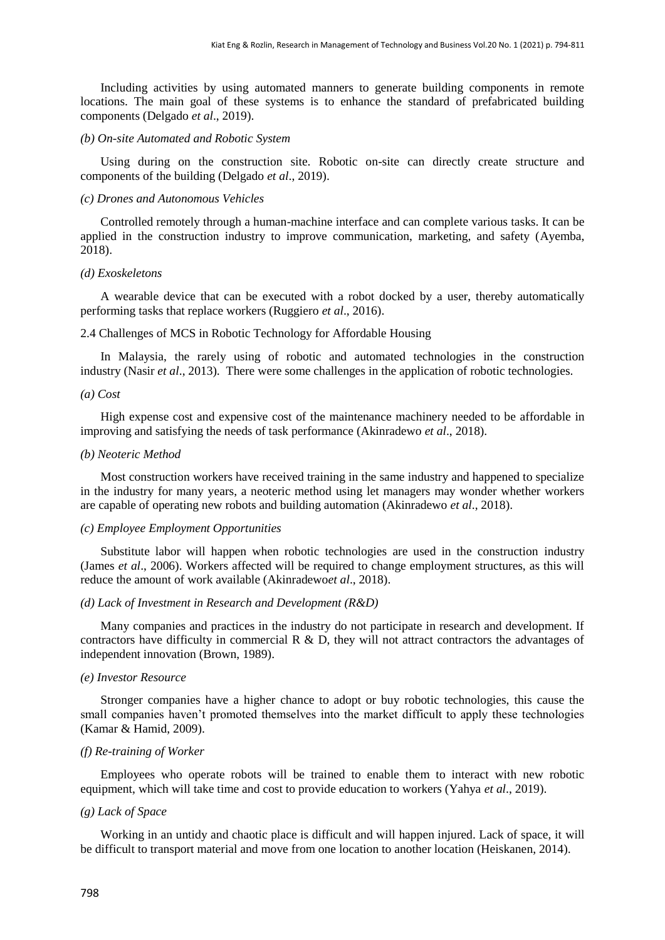Including activities by using automated manners to generate building components in remote locations. The main goal of these systems is to enhance the standard of prefabricated building components (Delgado *et al*., 2019).

#### *(b) On-site Automated and Robotic System*

Using during on the construction site. Robotic on-site can directly create structure and components of the building (Delgado *et al*., 2019).

#### *(c) Drones and Autonomous Vehicles*

Controlled remotely through a human-machine interface and can complete various tasks. It can be applied in the construction industry to improve communication, marketing, and safety [\(Ayemba,](https://constructionreviewonline.com/author/dennis-ayemba/) 2018).

#### *(d) Exoskeletons*

A wearable device that can be executed with a robot docked by a user, thereby automatically performing tasks that replace workers (Ruggiero *et al*., 2016).

2.4 Challenges of MCS in Robotic Technology for Affordable Housing

In Malaysia, the rarely using of robotic and automated technologies in the construction industry (Nasir *et al*., 2013). There were some challenges in the application of robotic technologies.

#### *(a) Cost*

High expense cost and expensive cost of the maintenance machinery needed to be affordable in improving and satisfying the needs of task performance (Akinradewo *et al*., 2018).

#### *(b) Neoteric Method*

Most construction workers have received training in the same industry and happened to specialize in the industry for many years, a neoteric method using let managers may wonder whether workers are capable of operating new robots and building automation (Akinradewo *et al*., 2018).

#### *(c) Employee Employment Opportunities*

Substitute labor will happen when robotic technologies are used in the construction industry (James *et al*., 2006). Workers affected will be required to change employment structures, as this will reduce the amount of work available (Akinradewo*et al*., 2018).

#### *(d) Lack of Investment in Research and Development (R&D)*

Many companies and practices in the industry do not participate in research and development. If contractors have difficulty in commercial  $R \& D$ , they will not attract contractors the advantages of independent innovation (Brown, 1989).

#### *(e) Investor Resource*

Stronger companies have a higher chance to adopt or buy robotic technologies, this cause the small companies haven't promoted themselves into the market difficult to apply these technologies (Kamar & Hamid, 2009).

#### *(f) Re-training of Worker*

Employees who operate robots will be trained to enable them to interact with new robotic equipment, which will take time and cost to provide education to workers (Yahya *et al*., 2019).

#### *(g) Lack of Space*

Working in an untidy and chaotic place is difficult and will happen injured. Lack of space, it will be difficult to transport material and move from one location to another location (Heiskanen, 2014).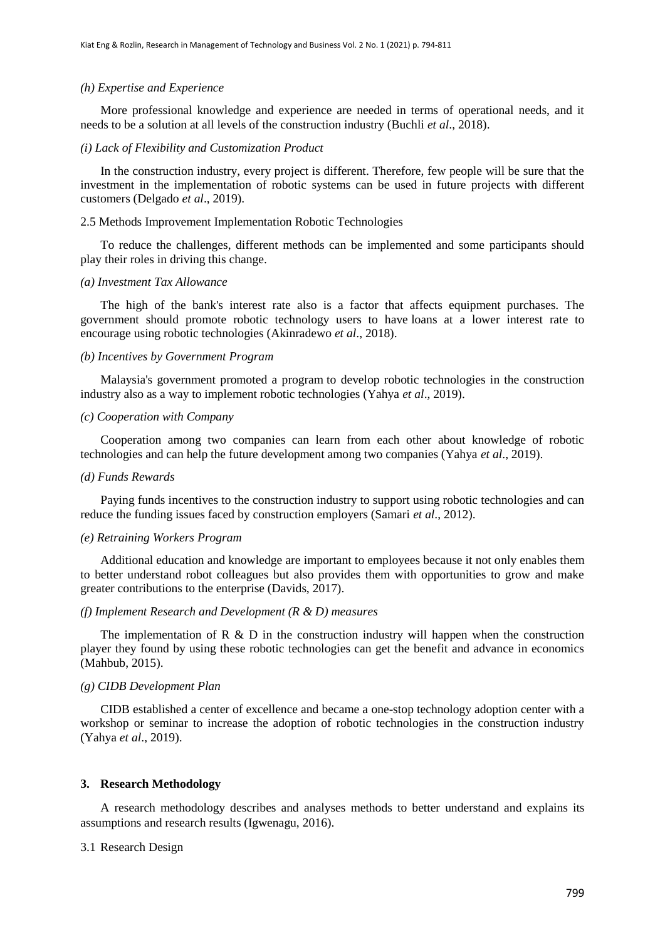#### *(h) Expertise and Experience*

More professional knowledge and experience are needed in terms of operational needs, and it needs to be a solution at all levels of the construction industry (Buchli *et al*., 2018).

#### *(i) Lack of Flexibility and Customization Product*

In the construction industry, every project is different. Therefore, few people will be sure that the investment in the implementation of robotic systems can be used in future projects with different customers (Delgado *et al*., 2019).

#### 2.5 Methods Improvement Implementation Robotic Technologies

To reduce the challenges, different methods can be implemented and some participants should play their roles in driving this change.

#### *(a) Investment Tax Allowance*

The high of the bank's interest rate also is a factor that affects equipment purchases. The government should promote robotic technology users to have loans at a lower interest rate to encourage using robotic technologies (Akinradewo *et al*., 2018).

#### *(b) Incentives by Government Program*

Malaysia's government promoted a program to develop robotic technologies in the construction industry also as a way to implement robotic technologies (Yahya *et al*., 2019).

### *(c) Cooperation with Company*

Cooperation among two companies can learn from each other about knowledge of robotic technologies and can help the future development among two companies (Yahya *et al*., 2019).

#### *(d) Funds Rewards*

Paying funds incentives to the construction industry to support using robotic technologies and can reduce the funding issues faced by construction employers (Samari *et al*., 2012).

#### *(e) Retraining Workers Program*

Additional education and knowledge are important to employees because it not only enables them to better understand robot colleagues but also provides them with opportunities to grow and make greater contributions to the enterprise (Davids, 2017).

## *(f) Implement Research and Development (R & D) measures*

The implementation of R  $\&$  D in the construction industry will happen when the construction player they found by using these robotic technologies can get the benefit and advance in economics (Mahbub, 2015).

## *(g) CIDB Development Plan*

CIDB established a center of excellence and became a one-stop technology adoption center with a workshop or seminar to increase the adoption of robotic technologies in the construction industry (Yahya *et al*., 2019).

#### **3. Research Methodology**

A research methodology describes and analyses methods to better understand and explains its assumptions and research results (Igwenagu, 2016).

## 3.1 Research Design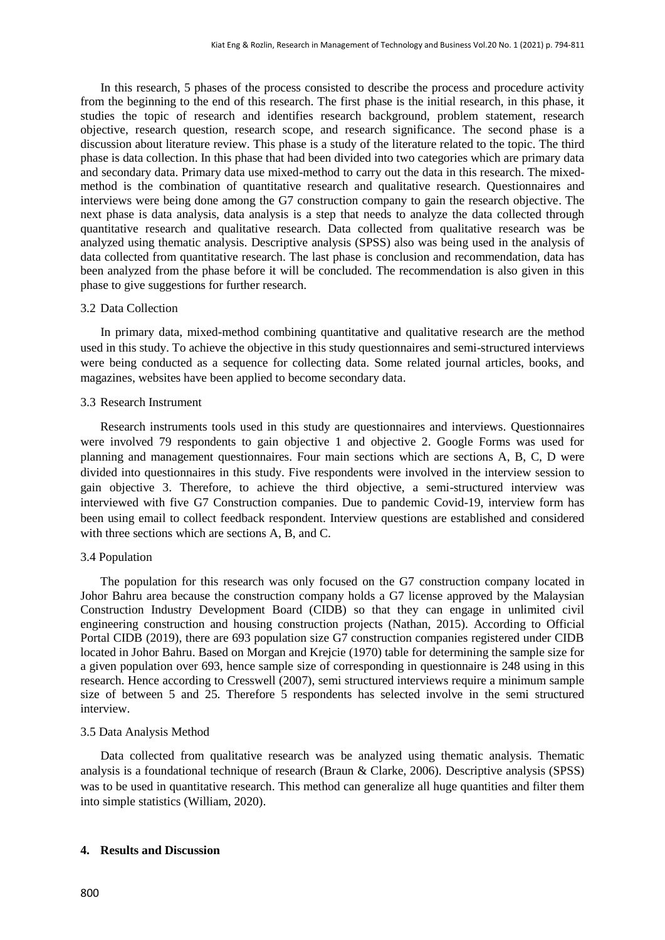In this research, 5 phases of the process consisted to describe the process and procedure activity from the beginning to the end of this research. The first phase is the initial research, in this phase, it studies the topic of research and identifies research background, problem statement, research objective, research question, research scope, and research significance. The second phase is a discussion about literature review. This phase is a study of the literature related to the topic. The third phase is data collection. In this phase that had been divided into two categories which are primary data and secondary data. Primary data use mixed-method to carry out the data in this research. The mixedmethod is the combination of quantitative research and qualitative research. Questionnaires and interviews were being done among the G7 construction company to gain the research objective. The next phase is data analysis, data analysis is a step that needs to analyze the data collected through quantitative research and qualitative research. Data collected from qualitative research was be analyzed using thematic analysis. Descriptive analysis (SPSS) also was being used in the analysis of data collected from quantitative research. The last phase is conclusion and recommendation, data has been analyzed from the phase before it will be concluded. The recommendation is also given in this phase to give suggestions for further research.

#### 3.2 Data Collection

In primary data, mixed-method combining quantitative and qualitative research are the method used in this study. To achieve the objective in this study questionnaires and semi-structured interviews were being conducted as a sequence for collecting data. Some related journal articles, books, and magazines, websites have been applied to become secondary data.

#### 3.3 Research Instrument

Research instruments tools used in this study are questionnaires and interviews. Questionnaires were involved 79 respondents to gain objective 1 and objective 2. Google Forms was used for planning and management questionnaires. Four main sections which are sections A, B, C, D were divided into questionnaires in this study. Five respondents were involved in the interview session to gain objective 3. Therefore, to achieve the third objective, a semi-structured interview was interviewed with five G7 Construction companies. Due to pandemic Covid-19, interview form has been using email to collect feedback respondent. Interview questions are established and considered with three sections which are sections A, B, and C.

#### 3.4 Population

The population for this research was only focused on the G7 construction company located in Johor Bahru area because the construction company holds a G7 license approved by the Malaysian Construction Industry Development Board (CIDB) so that they can engage in unlimited civil engineering construction and housing construction projects (Nathan, 2015). According to Official Portal CIDB (2019), there are 693 population size G7 construction companies registered under CIDB located in Johor Bahru. Based on Morgan and Krejcie (1970) table for determining the sample size for a given population over 693, hence sample size of corresponding in questionnaire is 248 using in this research. Hence according to Cresswell (2007), semi structured interviews require a minimum sample size of between 5 and 25. Therefore 5 respondents has selected involve in the semi structured interview.

#### 3.5 Data Analysis Method

Data collected from qualitative research was be analyzed using thematic analysis. Thematic analysis is a foundational technique of research (Braun & Clarke, 2006). Descriptive analysis (SPSS) was to be used in quantitative research. This method can generalize all huge quantities and filter them into simple statistics (William, 2020).

## **4. Results and Discussion**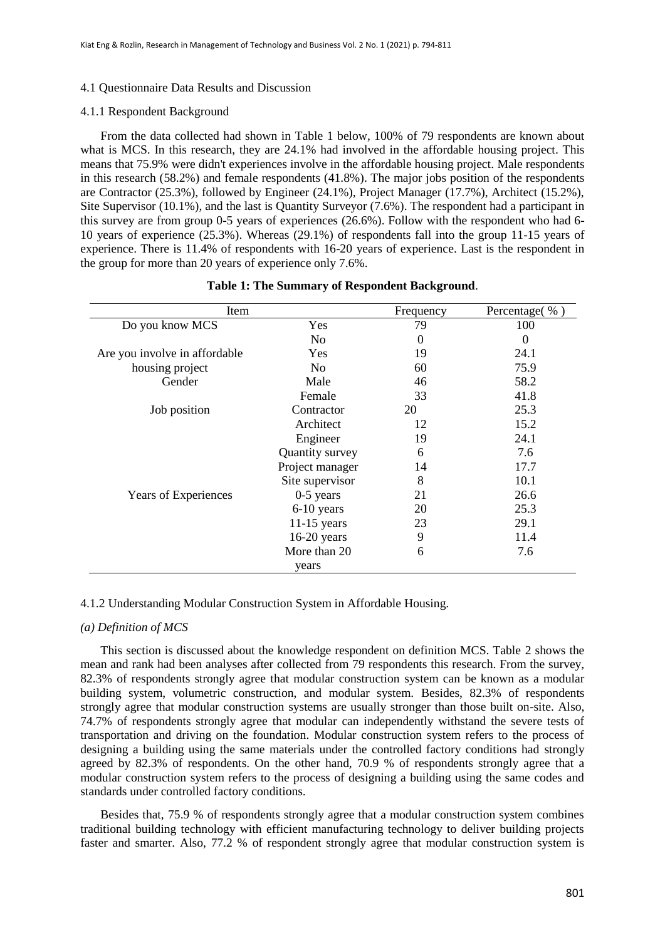#### 4.1 Questionnaire Data Results and Discussion

#### 4.1.1 Respondent Background

From the data collected had shown in Table 1 below, 100% of 79 respondents are known about what is MCS. In this research, they are 24.1% had involved in the affordable housing project. This means that 75.9% were didn't experiences involve in the affordable housing project. Male respondents in this research (58.2%) and female respondents (41.8%). The major jobs position of the respondents are Contractor (25.3%), followed by Engineer (24.1%), Project Manager (17.7%), Architect (15.2%), Site Supervisor (10.1%), and the last is Quantity Surveyor (7.6%). The respondent had a participant in this survey are from group 0-5 years of experiences (26.6%). Follow with the respondent who had 6- 10 years of experience (25.3%). Whereas (29.1%) of respondents fall into the group 11-15 years of experience. There is 11.4% of respondents with 16-20 years of experience. Last is the respondent in the group for more than 20 years of experience only 7.6%.

| Item                          |                 | Frequency | Percentage(%) |
|-------------------------------|-----------------|-----------|---------------|
| Do you know MCS               | Yes             | 79        | 100           |
|                               | N <sub>0</sub>  | $\Omega$  | 0             |
| Are you involve in affordable | <b>Yes</b>      | 19        | 24.1          |
| housing project               | N <sub>0</sub>  | 60        | 75.9          |
| Gender                        | Male            | 46        | 58.2          |
|                               | Female          | 33        | 41.8          |
| Job position                  | Contractor      | 20        | 25.3          |
|                               | Architect       | 12        | 15.2          |
|                               | Engineer        | 19        | 24.1          |
|                               | Quantity survey | 6         | 7.6           |
|                               | Project manager | 14        | 17.7          |
|                               | Site supervisor | 8         | 10.1          |
| Years of Experiences          | $0-5$ years     | 21        | 26.6          |
|                               | 6-10 years      | 20        | 25.3          |
|                               | $11-15$ years   | 23        | 29.1          |
|                               | $16-20$ years   | 9         | 11.4          |
|                               | More than 20    | 6         | 7.6           |
|                               | years           |           |               |

## **Table 1: The Summary of Respondent Background**.

#### 4.1.2 Understanding Modular Construction System in Affordable Housing.

#### *(a) Definition of MCS*

This section is discussed about the knowledge respondent on definition MCS. Table 2 shows the mean and rank had been analyses after collected from 79 respondents this research. From the survey, 82.3% of respondents strongly agree that modular construction system can be known as a modular building system, volumetric construction, and modular system. Besides, 82.3% of respondents strongly agree that modular construction systems are usually stronger than those built on-site. Also, 74.7% of respondents strongly agree that modular can independently withstand the severe tests of transportation and driving on the foundation. Modular construction system refers to the process of designing a building using the same materials under the controlled factory conditions had strongly agreed by 82.3% of respondents. On the other hand, 70.9 % of respondents strongly agree that a modular construction system refers to the process of designing a building using the same codes and standards under controlled factory conditions.

Besides that, 75.9 % of respondents strongly agree that a modular construction system combines traditional building technology with efficient manufacturing technology to deliver building projects faster and smarter. Also, 77.2 % of respondent strongly agree that modular construction system is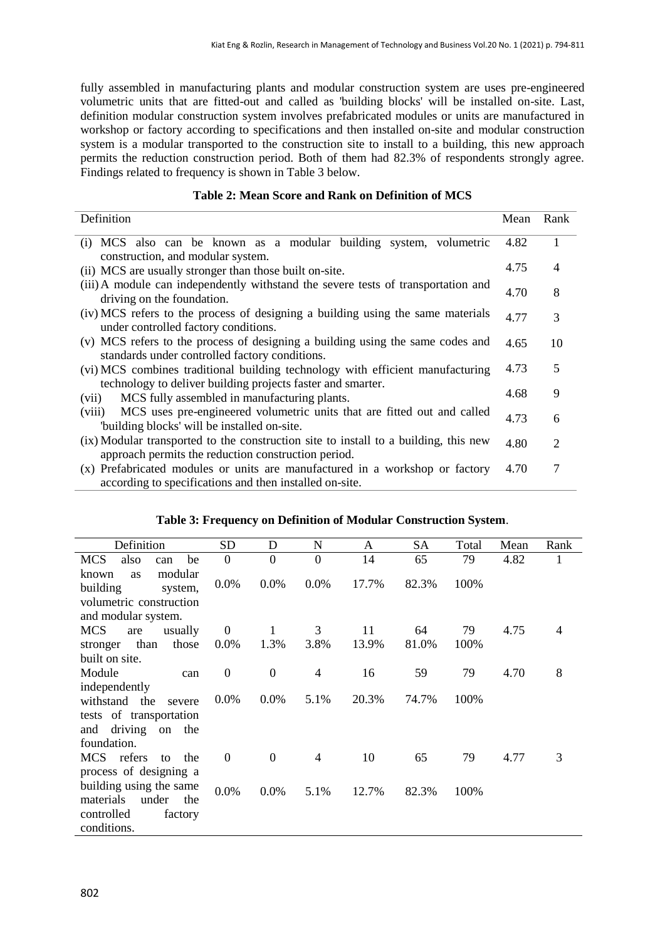fully assembled in manufacturing plants and modular construction system are uses pre-engineered volumetric units that are fitted-out and called as 'building blocks' will be installed on-site. Last, definition modular construction system involves prefabricated modules or units are manufactured in workshop or factory according to specifications and then installed on-site and modular construction system is a modular transported to the construction site to install to a building, this new approach permits the reduction construction period. Both of them had 82.3% of respondents strongly agree. Findings related to frequency is shown in Table 3 below.

| Definition                                                                                                                                  | Mean | Rank           |
|---------------------------------------------------------------------------------------------------------------------------------------------|------|----------------|
| (i) MCS also can be known as a modular building system, volumetric<br>construction, and modular system.                                     | 4.82 | 1              |
| (ii) MCS are usually stronger than those built on-site.                                                                                     | 4.75 | $\overline{4}$ |
| (iii) A module can independently withstand the severe tests of transportation and<br>driving on the foundation.                             | 4.70 | 8              |
| (iv) MCS refers to the process of designing a building using the same materials<br>under controlled factory conditions.                     | 4.77 | 3              |
| (v) MCS refers to the process of designing a building using the same codes and                                                              | 4.65 | 10             |
| standards under controlled factory conditions.                                                                                              |      |                |
| (vi) MCS combines traditional building technology with efficient manufacturing                                                              | 4.73 | 5              |
| technology to deliver building projects faster and smarter.                                                                                 |      |                |
| MCS fully assembled in manufacturing plants.<br>(vii)                                                                                       | 4.68 | 9              |
| MCS uses pre-engineered volumetric units that are fitted out and called<br>(viii)<br>"building blocks' will be installed on-site.           | 4.73 | 6              |
| (ix) Modular transported to the construction site to install to a building, this new<br>approach permits the reduction construction period. | 4.80 | 2              |
| (x) Prefabricated modules or units are manufactured in a workshop or factory<br>according to specifications and then installed on-site.     | 4.70 | 7              |

| Definition                                                               | <b>SD</b>        | D              | N              | A     | SA    | Total | Mean | Rank |
|--------------------------------------------------------------------------|------------------|----------------|----------------|-------|-------|-------|------|------|
| also<br><b>MCS</b><br>be<br>can                                          | $\theta$         | $\overline{0}$ | $\overline{0}$ | 14    | 65    | 79    | 4.82 | 1    |
| modular<br>known<br>as<br>building<br>system,<br>volumetric construction | 0.0%             | 0.0%           | 0.0%           | 17.7% | 82.3% | 100%  |      |      |
| and modular system.                                                      |                  |                |                |       |       |       |      |      |
| <b>MCS</b><br>usually<br>are                                             | $\boldsymbol{0}$ | 1              | 3              | 11    | 64    | 79    | 4.75 | 4    |
| those<br>than<br>stronger                                                | $0.0\%$          | 1.3%           | 3.8%           | 13.9% | 81.0% | 100%  |      |      |
| built on site.                                                           |                  |                |                |       |       |       |      |      |
| Module<br>can                                                            | $\boldsymbol{0}$ | $\overline{0}$ | $\overline{4}$ | 16    | 59    | 79    | 4.70 | 8    |
| independently<br>withstand the<br>severe<br>tests of transportation      | $0.0\%$          | 0.0%           | 5.1%           | 20.3% | 74.7% | 100%  |      |      |
| driving on the<br>and                                                    |                  |                |                |       |       |       |      |      |
| foundation.                                                              |                  |                |                |       |       |       |      |      |
| MCS refers<br>the<br>to                                                  | $\boldsymbol{0}$ | $\Omega$       | $\overline{4}$ | 10    | 65    | 79    | 4.77 | 3    |
| process of designing a                                                   |                  |                |                |       |       |       |      |      |
| building using the same<br>materials<br>under<br>the                     | 0.0%             | 0.0%           | 5.1%           | 12.7% | 82.3% | 100%  |      |      |
| controlled<br>factory                                                    |                  |                |                |       |       |       |      |      |
| conditions.                                                              |                  |                |                |       |       |       |      |      |

# **Table 3: Frequency on Definition of Modular Construction System**.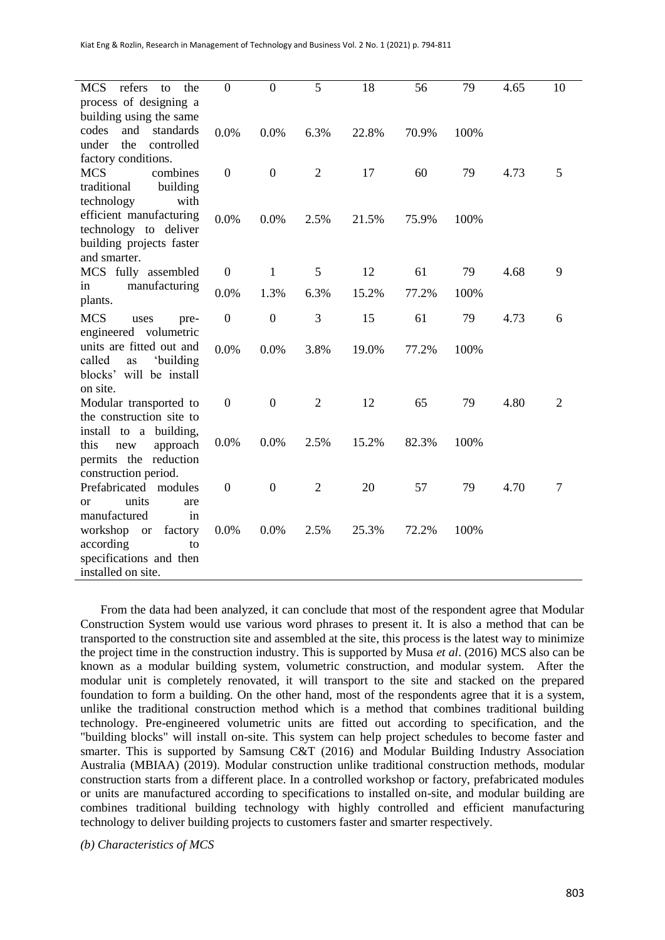| refers<br><b>MCS</b><br>the<br>to                   | $\theta$         | $\boldsymbol{0}$ | 5              | 18    | 56    | 79   | 4.65 | 10             |
|-----------------------------------------------------|------------------|------------------|----------------|-------|-------|------|------|----------------|
| process of designing a                              |                  |                  |                |       |       |      |      |                |
| building using the same                             |                  |                  |                |       |       |      |      |                |
| and<br>codes<br>standards                           | 0.0%             | 0.0%             | 6.3%           | 22.8% | 70.9% | 100% |      |                |
| under<br>the<br>controlled                          |                  |                  |                |       |       |      |      |                |
| factory conditions.                                 |                  |                  |                |       |       |      |      |                |
| <b>MCS</b><br>combines                              | $\mathbf{0}$     | $\boldsymbol{0}$ | $\overline{2}$ | 17    | 60    | 79   | 4.73 | 5              |
| traditional<br>building<br>with                     |                  |                  |                |       |       |      |      |                |
| technology<br>efficient manufacturing               |                  |                  |                |       |       |      |      |                |
| technology to deliver                               | 0.0%             | 0.0%             | 2.5%           | 21.5% | 75.9% | 100% |      |                |
| building projects faster                            |                  |                  |                |       |       |      |      |                |
| and smarter.                                        |                  |                  |                |       |       |      |      |                |
| MCS fully assembled                                 | $\boldsymbol{0}$ | 1                | 5              | 12    | 61    | 79   | 4.68 | 9              |
| manufacturing<br>in                                 | 0.0%             | 1.3%             | 6.3%           | 15.2% | 77.2% | 100% |      |                |
| plants.                                             |                  |                  |                |       |       |      |      |                |
| <b>MCS</b><br>uses<br>pre-                          | $\boldsymbol{0}$ | $\boldsymbol{0}$ | 3              | 15    | 61    | 79   | 4.73 | 6              |
| engineered volumetric                               |                  |                  |                |       |       |      |      |                |
| units are fitted out and                            | 0.0%             | 0.0%             | 3.8%           | 19.0% | 77.2% | 100% |      |                |
| 'building<br>called<br>as                           |                  |                  |                |       |       |      |      |                |
| blocks' will be install                             |                  |                  |                |       |       |      |      |                |
| on site.                                            |                  |                  |                |       |       |      |      |                |
| Modular transported to                              | $\mathbf{0}$     | $\overline{0}$   | $\overline{2}$ | 12    | 65    | 79   | 4.80 | $\overline{2}$ |
| the construction site to                            |                  |                  |                |       |       |      |      |                |
| install to a building,                              |                  | 0.0%             | 2.5%           | 15.2% | 82.3% |      |      |                |
| this<br>approach<br>new                             | 0.0%             |                  |                |       |       | 100% |      |                |
| permits the reduction                               |                  |                  |                |       |       |      |      |                |
| construction period.                                |                  |                  |                |       |       |      |      |                |
| Prefabricated<br>modules                            | $\boldsymbol{0}$ | $\boldsymbol{0}$ | $\overline{2}$ | 20    | 57    | 79   | 4.70 | 7              |
| units<br>are<br><sub>or</sub><br>manufactured<br>in |                  |                  |                |       |       |      |      |                |
| workshop<br>factory<br><b>or</b>                    | 0.0%             | 0.0%             | 2.5%           | 25.3% | 72.2% | 100% |      |                |
| according<br>to                                     |                  |                  |                |       |       |      |      |                |
| specifications and then                             |                  |                  |                |       |       |      |      |                |
| installed on site.                                  |                  |                  |                |       |       |      |      |                |
|                                                     |                  |                  |                |       |       |      |      |                |

From the data had been analyzed, it can conclude that most of the respondent agree that Modular Construction System would use various word phrases to present it. It is also a method that can be transported to the construction site and assembled at the site, this process is the latest way to minimize the project time in the construction industry. This is supported by Musa *et al*. (2016) MCS also can be known as a modular building system, volumetric construction, and modular system. After the modular unit is completely renovated, it will transport to the site and stacked on the prepared foundation to form a building. On the other hand, most of the respondents agree that it is a system, unlike the traditional construction method which is a method that combines traditional building technology. Pre-engineered volumetric units are fitted out according to specification, and the "building blocks" will install on-site. This system can help project schedules to become faster and smarter. This is supported by Samsung C&T (2016) and Modular Building Industry Association Australia (MBIAA) (2019). Modular construction unlike traditional construction methods, modular construction starts from a different place. In a controlled workshop or factory, prefabricated modules or units are manufactured according to specifications to installed on-site, and modular building are combines traditional building technology with highly controlled and efficient manufacturing technology to deliver building projects to customers faster and smarter respectively.

*(b) Characteristics of MCS*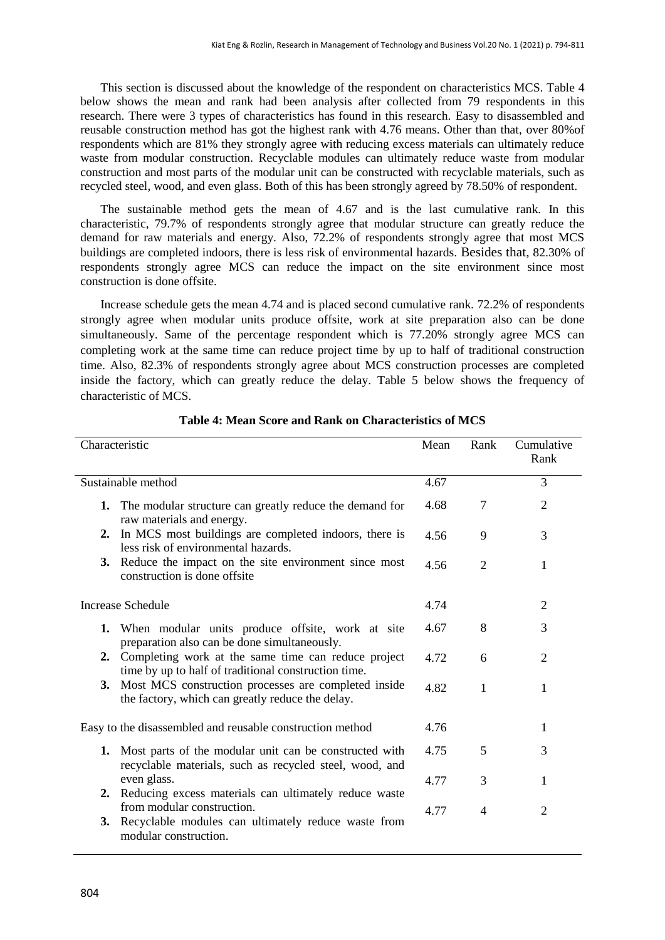This section is discussed about the knowledge of the respondent on characteristics MCS. Table 4 below shows the mean and rank had been analysis after collected from 79 respondents in this research. There were 3 types of characteristics has found in this research. Easy to disassembled and reusable construction method has got the highest rank with 4.76 means. Other than that, over 80%of respondents which are 81% they strongly agree with reducing excess materials can ultimately reduce waste from modular construction. Recyclable modules can ultimately reduce waste from modular construction and most parts of the modular unit can be constructed with recyclable materials, such as recycled steel, wood, and even glass. Both of this has been strongly agreed by 78.50% of respondent.

The sustainable method gets the mean of 4.67 and is the last cumulative rank. In this characteristic, 79.7% of respondents strongly agree that modular structure can greatly reduce the demand for raw materials and energy. Also, 72.2% of respondents strongly agree that most MCS buildings are completed indoors, there is less risk of environmental hazards. Besides that, 82.30% of respondents strongly agree MCS can reduce the impact on the site environment since most construction is done offsite.

Increase schedule gets the mean 4.74 and is placed second cumulative rank. 72.2% of respondents strongly agree when modular units produce offsite, work at site preparation also can be done simultaneously. Same of the percentage respondent which is 77.20% strongly agree MCS can completing work at the same time can reduce project time by up to half of traditional construction time. Also, 82.3% of respondents strongly agree about MCS construction processes are completed inside the factory, which can greatly reduce the delay. Table 5 below shows the frequency of characteristic of MCS.

| Characteristic |                                                                                                                   | Mean | Rank           | Cumulative<br>Rank |
|----------------|-------------------------------------------------------------------------------------------------------------------|------|----------------|--------------------|
|                | Sustainable method                                                                                                | 4.67 |                | 3                  |
| 1.             | The modular structure can greatly reduce the demand for<br>raw materials and energy.                              | 4.68 | 7              | $\overline{2}$     |
| 2.             | In MCS most buildings are completed indoors, there is<br>less risk of environmental hazards.                      | 4.56 | 9              | 3                  |
| 3.             | Reduce the impact on the site environment since most<br>construction is done offsite                              | 4.56 | $\overline{2}$ | 1                  |
|                | <b>Increase Schedule</b>                                                                                          | 4.74 |                | $\overline{2}$     |
| 1.             | When modular units produce offsite, work at site<br>preparation also can be done simultaneously.                  | 4.67 | 8              | 3                  |
|                | 2. Completing work at the same time can reduce project<br>time by up to half of traditional construction time.    | 4.72 | 6              | $\overline{2}$     |
| 3.             | Most MCS construction processes are completed inside<br>the factory, which can greatly reduce the delay.          | 4.82 | $\mathbf{1}$   | $\mathbf{1}$       |
|                | Easy to the disassembled and reusable construction method                                                         | 4.76 |                | 1                  |
| 1.             | Most parts of the modular unit can be constructed with<br>recyclable materials, such as recycled steel, wood, and | 4.75 | 5              | 3                  |
| 2.             | even glass.<br>Reducing excess materials can ultimately reduce waste                                              | 4.77 | 3              | 1                  |
| 3.             | from modular construction.<br>Recyclable modules can ultimately reduce waste from<br>modular construction.        | 4.77 | $\overline{4}$ | $\overline{2}$     |

# **Table 4: Mean Score and Rank on Characteristics of MCS**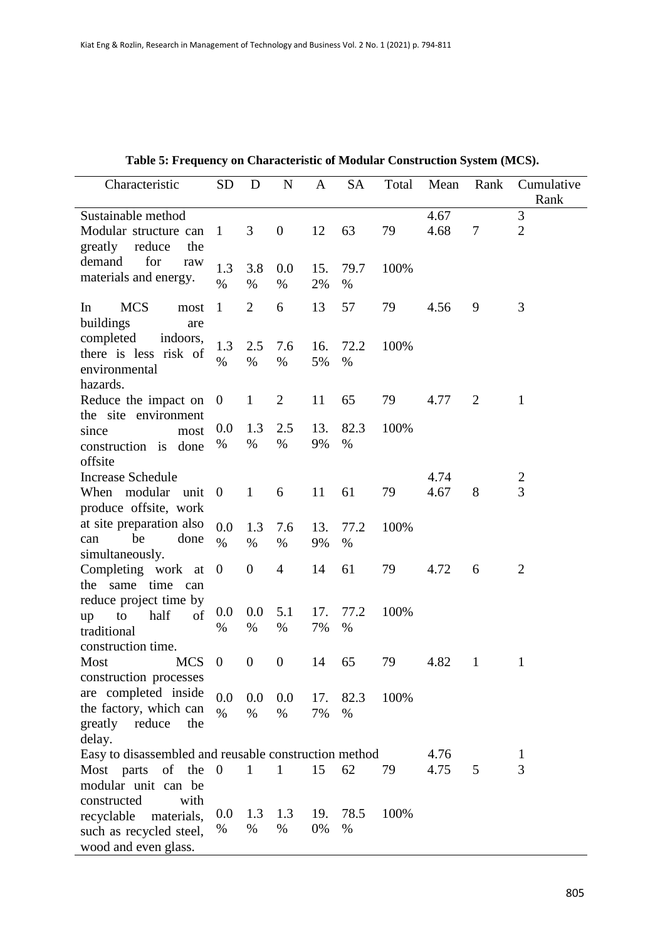| Characteristic                                                                        | <b>SD</b>        | D                | ${\bf N}$        | $\mathbf{A}$ | <b>SA</b>    | Total | Mean         | Rank         | Cumulative<br>Rank  |
|---------------------------------------------------------------------------------------|------------------|------------------|------------------|--------------|--------------|-------|--------------|--------------|---------------------|
| Sustainable method<br>Modular structure can<br>greatly<br>reduce<br>the               | 1                | 3                | $\boldsymbol{0}$ | 12           | 63           | 79    | 4.67<br>4.68 | 7            | 3<br>$\overline{2}$ |
| for<br>demand<br>raw<br>materials and energy.                                         | 1.3<br>$\%$      | 3.8<br>$\%$      | 0.0<br>$\%$      | 15.<br>2%    | 79.7<br>$\%$ | 100%  |              |              |                     |
| <b>MCS</b><br>In<br>most<br>buildings<br>are                                          | $\mathbf{1}$     | $\overline{2}$   | 6                | 13           | 57           | 79    | 4.56         | 9            | 3                   |
| completed<br>indoors,<br>there is less risk of<br>environmental<br>hazards.           | 1.3<br>$\%$      | 2.5<br>$\%$      | 7.6<br>$\%$      | 16.<br>5%    | 72.2<br>$\%$ | 100%  |              |              |                     |
| Reduce the impact on                                                                  | $\overline{0}$   | $\mathbf{1}$     | $\overline{c}$   | 11           | 65           | 79    | 4.77         | 2            | 1                   |
| the site environment<br>since<br>most<br>construction is<br>done<br>offsite           | 0.0<br>$\%$      | 1.3<br>%         | 2.5<br>$\%$      | 13.<br>9%    | 82.3<br>$\%$ | 100%  |              |              |                     |
| <b>Increase Schedule</b>                                                              |                  |                  |                  |              |              |       | 4.74         |              | $\overline{c}$      |
| When modular<br>unit<br>produce offsite, work                                         | $\overline{0}$   | $\mathbf{1}$     | 6                | 11           | 61           | 79    | 4.67         | 8            | $\overline{3}$      |
| at site preparation also<br>be<br>done<br>can<br>simultaneously.                      | 0.0<br>$\%$      | 1.3<br>$\%$      | 7.6<br>$\%$      | 13.<br>9%    | 77.2<br>$\%$ | 100%  |              |              |                     |
| Completing work at<br>time<br>the same<br>can                                         | $\boldsymbol{0}$ | $\boldsymbol{0}$ | $\overline{4}$   | 14           | 61           | 79    | 4.72         | 6            | $\overline{2}$      |
| reduce project time by<br>half<br>of<br>to<br>up<br>traditional<br>construction time. | 0.0<br>%         | 0.0<br>%         | 5.1<br>$\%$      | 17.<br>7%    | 77.2<br>$\%$ | 100%  |              |              |                     |
| <b>MCS</b><br>Most<br>construction processes                                          | $\boldsymbol{0}$ | $\boldsymbol{0}$ | 0                | 14           | 65           | 79    | 4.82         | $\mathbf{1}$ | $\mathbf 1$         |
| are completed inside<br>the factory, which can<br>greatly reduce<br>the               | 0.0<br>$\%$      | 0.0<br>$\%$      | 0.0<br>$\%$      | 17.<br>7%    | 82.3<br>$\%$ | 100%  |              |              |                     |
| delay.                                                                                |                  |                  |                  |              |              |       |              |              |                     |
| Easy to disassembled and reusable construction method<br>Most parts of the            | $\overline{0}$   | 1                | 1                | 15           | 62           | 79    | 4.76<br>4.75 | 5            | 1<br>3              |
| modular unit can be<br>with<br>constructed                                            |                  |                  |                  |              |              |       |              |              |                     |
| recyclable<br>materials,                                                              | 0.0              | 1.3              | 1.3              | 19.          | 78.5         | 100%  |              |              |                     |
| such as recycled steel,<br>wood and even glass.                                       | $\%$             | %                | $\%$             | 0%           | $\%$         |       |              |              |                     |

| Table 5: Frequency on Characteristic of Modular Construction System (MCS). |  |
|----------------------------------------------------------------------------|--|
|----------------------------------------------------------------------------|--|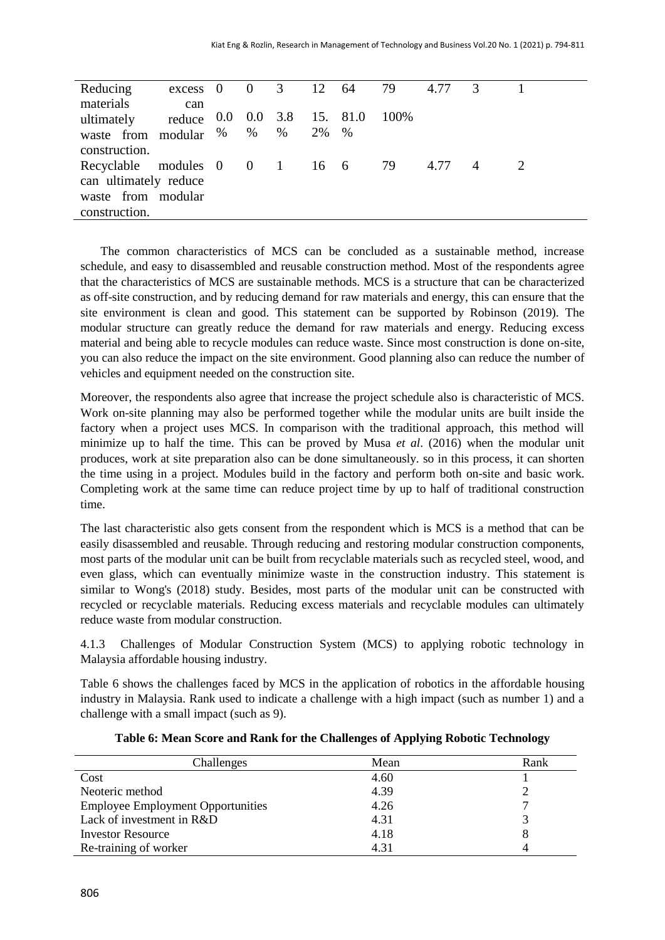| Reducing                      | $excess \quad 0$            |   |   |    | $0 \t 3 \t 12 \t 64$ | 79   | 4.77 | $\mathcal{R}$  |  |
|-------------------------------|-----------------------------|---|---|----|----------------------|------|------|----------------|--|
| materials                     | can                         |   |   |    |                      |      |      |                |  |
| ultimately                    | reduce 0.0 0.0 3.8 15. 81.0 |   |   |    |                      | 100% |      |                |  |
| waste from modular %          |                             | % | % | 2% | $\%$                 |      |      |                |  |
| construction.                 |                             |   |   |    |                      |      |      |                |  |
| Recyclable modules 0 0 1 16 6 |                             |   |   |    |                      | -79  | 4.77 | $\overline{A}$ |  |
| can ultimately reduce         |                             |   |   |    |                      |      |      |                |  |
| waste from modular            |                             |   |   |    |                      |      |      |                |  |
| construction.                 |                             |   |   |    |                      |      |      |                |  |

The common characteristics of MCS can be concluded as a sustainable method, increase schedule, and easy to disassembled and reusable construction method. Most of the respondents agree that the characteristics of MCS are sustainable methods. MCS is a structure that can be characterized as off-site construction, and by reducing demand for raw materials and energy, this can ensure that the site environment is clean and good. This statement can be supported by Robinson (2019). The modular structure can greatly reduce the demand for raw materials and energy. Reducing excess material and being able to recycle modules can reduce waste. Since most construction is done on-site, you can also reduce the impact on the site environment. Good planning also can reduce the number of vehicles and equipment needed on the construction site.

Moreover, the respondents also agree that increase the project schedule also is characteristic of MCS. Work on-site planning may also be performed together while the modular units are built inside the factory when a project uses MCS. In comparison with the traditional approach, this method will minimize up to half the time. This can be proved by Musa *et al*. (2016) when the modular unit produces, work at site preparation also can be done simultaneously. so in this process, it can shorten the time using in a project. Modules build in the factory and perform both on-site and basic work. Completing work at the same time can reduce project time by up to half of traditional construction time.

The last characteristic also gets consent from the respondent which is MCS is a method that can be easily disassembled and reusable. Through reducing and restoring modular construction components, most parts of the modular unit can be built from recyclable materials such as recycled steel, wood, and even glass, which can eventually minimize waste in the construction industry. This statement is similar to Wong's (2018) study. Besides, most parts of the modular unit can be constructed with recycled or recyclable materials. Reducing excess materials and recyclable modules can ultimately reduce waste from modular construction.

4.1.3 Challenges of Modular Construction System (MCS) to applying robotic technology in Malaysia affordable housing industry.

Table 6 shows the challenges faced by MCS in the application of robotics in the affordable housing industry in Malaysia. Rank used to indicate a challenge with a high impact (such as number 1) and a challenge with a small impact (such as 9).

| Challenges                               | Mean | Rank |
|------------------------------------------|------|------|
| Cost                                     | 4.60 |      |
| Neoteric method                          | 4.39 |      |
| <b>Employee Employment Opportunities</b> | 4.26 |      |
| Lack of investment in R&D                | 4.31 |      |
| <b>Investor Resource</b>                 | 4.18 |      |
| Re-training of worker                    | 4.31 |      |

# **Table 6: Mean Score and Rank for the Challenges of Applying Robotic Technology**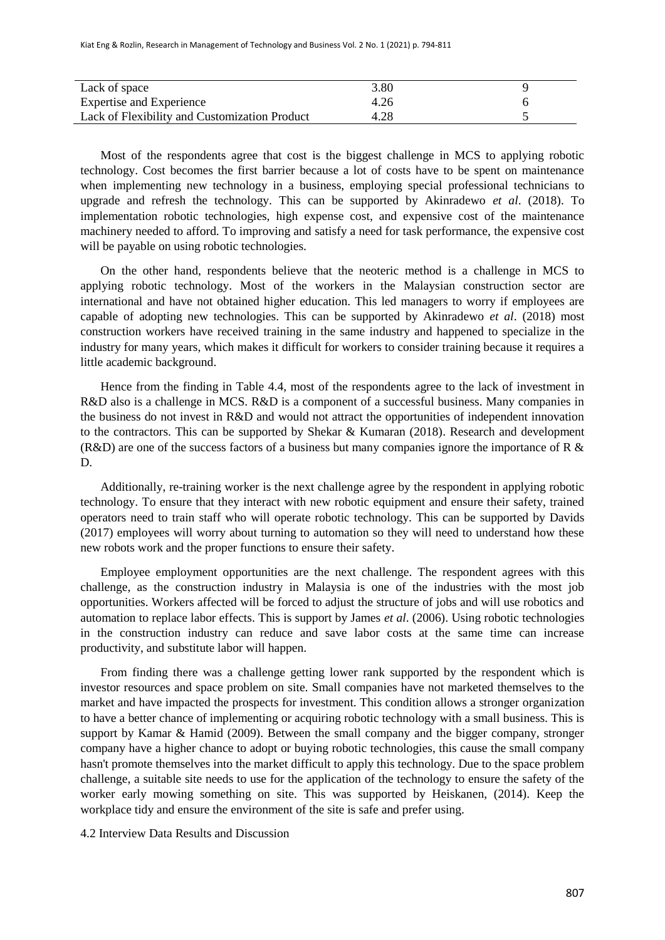| Lack of space                                 | 3.80 |  |
|-----------------------------------------------|------|--|
| <b>Expertise and Experience</b>               | 4.26 |  |
| Lack of Flexibility and Customization Product | 4.28 |  |

Most of the respondents agree that cost is the biggest challenge in MCS to applying robotic technology. Cost becomes the first barrier because a lot of costs have to be spent on maintenance when implementing new technology in a business, employing special professional technicians to upgrade and refresh the technology. This can be supported by Akinradewo *et al*. (2018). To implementation robotic technologies, high expense cost, and expensive cost of the maintenance machinery needed to afford. To improving and satisfy a need for task performance, the expensive cost will be payable on using robotic technologies.

On the other hand, respondents believe that the neoteric method is a challenge in MCS to applying robotic technology. Most of the workers in the Malaysian construction sector are international and have not obtained higher education. This led managers to worry if employees are capable of adopting new technologies. This can be supported by Akinradewo *et al*. (2018) most construction workers have received training in the same industry and happened to specialize in the industry for many years, which makes it difficult for workers to consider training because it requires a little academic background.

Hence from the finding in Table 4.4, most of the respondents agree to the lack of investment in R&D also is a challenge in MCS. R&D is a component of a successful business. Many companies in the business do not invest in R&D and would not attract the opportunities of independent innovation to the contractors. This can be supported by Shekar & Kumaran (2018). Research and development (R&D) are one of the success factors of a business but many companies ignore the importance of R  $\&$ D.

Additionally, re-training worker is the next challenge agree by the respondent in applying robotic technology. To ensure that they interact with new robotic equipment and ensure their safety, trained operators need to train staff who will operate robotic technology. This can be supported by Davids (2017) employees will worry about turning to automation so they will need to understand how these new robots work and the proper functions to ensure their safety.

Employee employment opportunities are the next challenge. The respondent agrees with this challenge, as the construction industry in Malaysia is one of the industries with the most job opportunities. Workers affected will be forced to adjust the structure of jobs and will use robotics and automation to replace labor effects. This is support by James *et al*. (2006). Using robotic technologies in the construction industry can reduce and save labor costs at the same time can increase productivity, and substitute labor will happen.

From finding there was a challenge getting lower rank supported by the respondent which is investor resources and space problem on site. Small companies have not marketed themselves to the market and have impacted the prospects for investment. This condition allows a stronger organization to have a better chance of implementing or acquiring robotic technology with a small business. This is support by Kamar & Hamid (2009). Between the small company and the bigger company, stronger company have a higher chance to adopt or buying robotic technologies, this cause the small company hasn't promote themselves into the market difficult to apply this technology. Due to the space problem challenge, a suitable site needs to use for the application of the technology to ensure the safety of the worker early mowing something on site. This was supported by Heiskanen, (2014). Keep the workplace tidy and ensure the environment of the site is safe and prefer using.

## 4.2 Interview Data Results and Discussion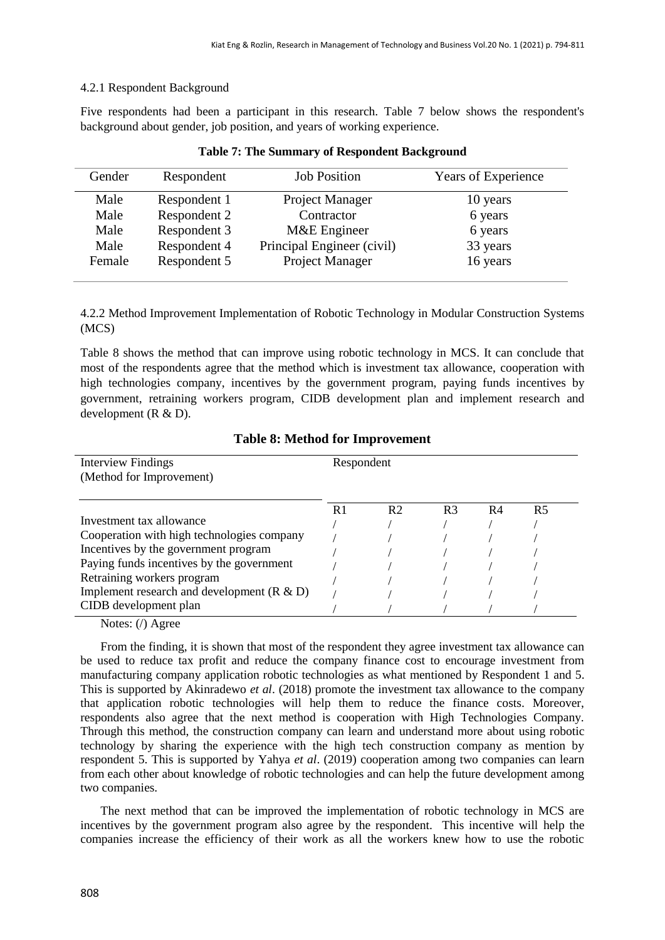# 4.2.1 Respondent Background

Five respondents had been a participant in this research. Table 7 below shows the respondent's background about gender, job position, and years of working experience.

| Gender | Respondent   | <b>Job Position</b>        | Years of Experience |
|--------|--------------|----------------------------|---------------------|
| Male   | Respondent 1 | Project Manager            | 10 years            |
| Male   | Respondent 2 | Contractor                 | 6 years             |
| Male   | Respondent 3 | M&E Engineer               | 6 years             |
| Male   | Respondent 4 | Principal Engineer (civil) | 33 years            |
| Female | Respondent 5 | Project Manager            | 16 years            |

| <b>Table 7: The Summary of Respondent Background</b> |  |  |  |  |
|------------------------------------------------------|--|--|--|--|
|------------------------------------------------------|--|--|--|--|

4.2.2 Method Improvement Implementation of Robotic Technology in Modular Construction Systems (MCS)

Table 8 shows the method that can improve using robotic technology in MCS. It can conclude that most of the respondents agree that the method which is investment tax allowance, cooperation with high technologies company, incentives by the government program, paying funds incentives by government, retraining workers program, CIDB development plan and implement research and development (R & D).

| <b>Interview Findings</b><br>(Method for Improvement) | Respondent |                |                |    |    |
|-------------------------------------------------------|------------|----------------|----------------|----|----|
|                                                       | R.         | R <sub>2</sub> | R <sub>3</sub> | R4 | R5 |
| Investment tax allowance                              |            |                |                |    |    |
| Cooperation with high technologies company            |            |                |                |    |    |
| Incentives by the government program                  |            |                |                |    |    |
| Paying funds incentives by the government             |            |                |                |    |    |
| Retraining workers program                            |            |                |                |    |    |
| Implement research and development $(R & D)$          |            |                |                |    |    |
| CIDB development plan                                 |            |                |                |    |    |

**Table 8: Method for Improvement**

Notes: (/) Agree

From the finding, it is shown that most of the respondent they agree investment tax allowance can be used to reduce tax profit and reduce the company finance cost to encourage investment from manufacturing company application robotic technologies as what mentioned by Respondent 1 and 5. This is supported by Akinradewo *et al*. (2018) promote the investment tax allowance to the company that application robotic technologies will help them to reduce the finance costs. Moreover, respondents also agree that the next method is cooperation with High Technologies Company. Through this method, the construction company can learn and understand more about using robotic technology by sharing the experience with the high tech construction company as mention by respondent 5. This is supported by Yahya *et al*. (2019) cooperation among two companies can learn from each other about knowledge of robotic technologies and can help the future development among two companies.

The next method that can be improved the implementation of robotic technology in MCS are incentives by the government program also agree by the respondent. This incentive will help the companies increase the efficiency of their work as all the workers knew how to use the robotic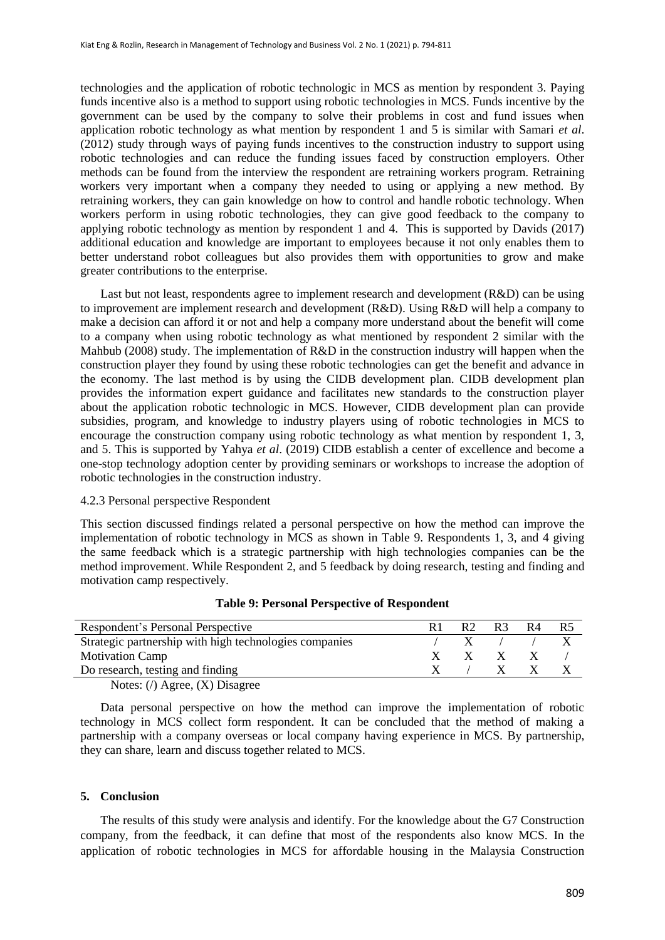technologies and the application of robotic technologic in MCS as mention by respondent 3. Paying funds incentive also is a method to support using robotic technologies in MCS. Funds incentive by the government can be used by the company to solve their problems in cost and fund issues when application robotic technology as what mention by respondent 1 and 5 is similar with Samari *et al*. (2012) study through ways of paying funds incentives to the construction industry to support using robotic technologies and can reduce the funding issues faced by construction employers. Other methods can be found from the interview the respondent are retraining workers program. Retraining workers very important when a company they needed to using or applying a new method. By retraining workers, they can gain knowledge on how to control and handle robotic technology. When workers perform in using robotic technologies, they can give good feedback to the company to applying robotic technology as mention by respondent 1 and 4. This is supported by Davids (2017) additional education and knowledge are important to employees because it not only enables them to better understand robot colleagues but also provides them with opportunities to grow and make greater contributions to the enterprise.

Last but not least, respondents agree to implement research and development (R&D) can be using to improvement are implement research and development (R&D). Using R&D will help a company to make a decision can afford it or not and help a company more understand about the benefit will come to a company when using robotic technology as what mentioned by respondent 2 similar with the Mahbub (2008) study. The implementation of R&D in the construction industry will happen when the construction player they found by using these robotic technologies can get the benefit and advance in the economy. The last method is by using the CIDB development plan. CIDB development plan provides the information expert guidance and facilitates new standards to the construction player about the application robotic technologic in MCS. However, CIDB development plan can provide subsidies, program, and knowledge to industry players using of robotic technologies in MCS to encourage the construction company using robotic technology as what mention by respondent 1, 3, and 5. This is supported by Yahya *et al*. (2019) CIDB establish a center of excellence and become a one-stop technology adoption center by providing seminars or workshops to increase the adoption of robotic technologies in the construction industry.

#### 4.2.3 Personal perspective Respondent

This section discussed findings related a personal perspective on how the method can improve the implementation of robotic technology in MCS as shown in Table 9. Respondents 1, 3, and 4 giving the same feedback which is a strategic partnership with high technologies companies can be the method improvement. While Respondent 2, and 5 feedback by doing research, testing and finding and motivation camp respectively.

| Respondent's Personal Perspective                             |  | R2 | R <sup>3</sup> | R4 | R5 |
|---------------------------------------------------------------|--|----|----------------|----|----|
| Strategic partnership with high technologies companies        |  |    |                |    |    |
| <b>Motivation Camp</b>                                        |  | X  | X.             |    |    |
| Do research, testing and finding                              |  |    |                |    |    |
| Notes: $\left(\frac{\ }{\ }$ Agree, $\left(X\right)$ Disagree |  |    |                |    |    |

## **Table 9: Personal Perspective of Respondent**

Data personal perspective on how the method can improve the implementation of robotic technology in MCS collect form respondent. It can be concluded that the method of making a partnership with a company overseas or local company having experience in MCS. By partnership, they can share, learn and discuss together related to MCS.

### **5. Conclusion**

The results of this study were analysis and identify. For the knowledge about the G7 Construction company, from the feedback, it can define that most of the respondents also know MCS. In the application of robotic technologies in MCS for affordable housing in the Malaysia Construction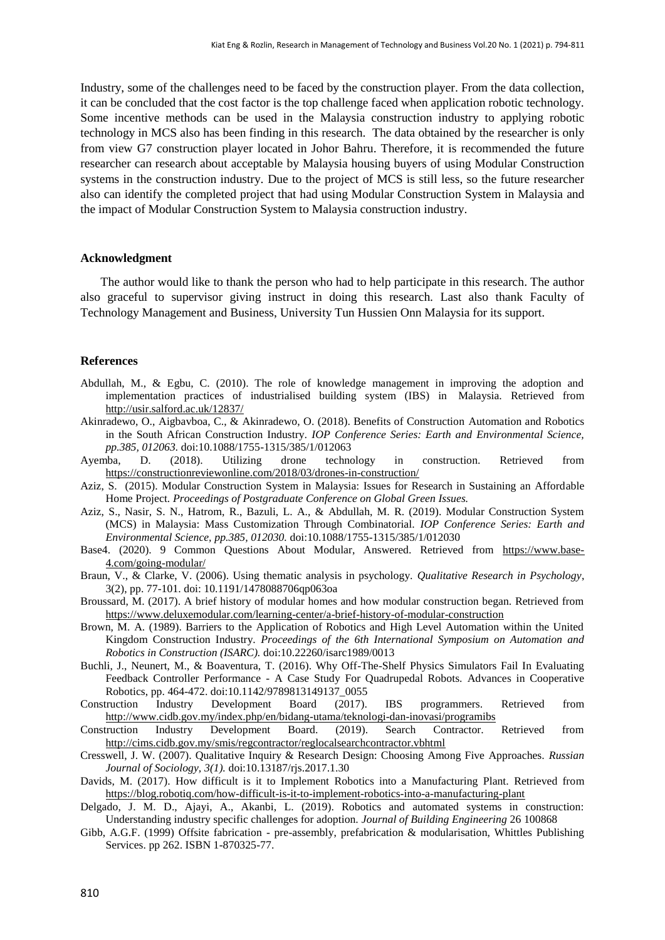Industry, some of the challenges need to be faced by the construction player. From the data collection, it can be concluded that the cost factor is the top challenge faced when application robotic technology. Some incentive methods can be used in the Malaysia construction industry to applying robotic technology in MCS also has been finding in this research. The data obtained by the researcher is only from view G7 construction player located in Johor Bahru. Therefore, it is recommended the future researcher can research about acceptable by Malaysia housing buyers of using Modular Construction systems in the construction industry. Due to the project of MCS is still less, so the future researcher also can identify the completed project that had using Modular Construction System in Malaysia and the impact of Modular Construction System to Malaysia construction industry.

### **Acknowledgment**

The author would like to thank the person who had to help participate in this research. The author also graceful to supervisor giving instruct in doing this research. Last also thank Faculty of Technology Management and Business, University Tun Hussien Onn Malaysia for its support.

#### **References**

- Abdullah, M., & Egbu, C. (2010). The role of knowledge management in improving the adoption and implementation practices of industrialised building system (IBS) in Malaysia. Retrieved from <http://usir.salford.ac.uk/12837/>
- Akinradewo, O., Aigbavboa, C., & Akinradewo, O. (2018). Benefits of Construction Automation and Robotics in the South African Construction Industry*. IOP Conference Series: Earth and Environmental Science, pp.385, 012063.* doi:10.1088/1755-1315/385/1/012063
- Ayemba, D. (2018). Utilizing drone technology in construction. Retrieved from <https://constructionreviewonline.com/2018/03/drones-in-construction/>
- Aziz, S. (2015). Modular Construction System in Malaysia: Issues for Research in Sustaining an Affordable Home Project. *Proceedings of Postgraduate Conference on Global Green Issues.*
- Aziz, S., Nasir, S. N., Hatrom, R., Bazuli, L. A., & Abdullah, M. R. (2019). Modular Construction System (MCS) in Malaysia: Mass Customization Through Combinatorial. *IOP Conference Series: Earth and Environmental Science, pp.385, 012030.* doi:10.1088/1755-1315/385/1/012030
- Base4. (2020). 9 Common Questions About Modular, Answered. Retrieved from [https://www.base-](https://www.base-4.com/going-modular/)[4.com/going-modular/](https://www.base-4.com/going-modular/)
- Braun, V., & Clarke, V. (2006). Using thematic analysis in psychology. *Qualitative Research in Psychology*, 3(2), pp. 77-101. doi: 10.1191/1478088706qp063oa
- Broussard, M. (2017). A brief history of modular homes and how modular construction began. Retrieved from <https://www.deluxemodular.com/learning-center/a-brief-history-of-modular-construction>
- Brown, M. A. (1989). Barriers to the Application of Robotics and High Level Automation within the United Kingdom Construction Industry. *Proceedings of the 6th International Symposium on Automation and Robotics in Construction (ISARC).* doi:10.22260/isarc1989/0013
- Buchli, J., Neunert, M., & Boaventura, T. (2016). Why Off-The-Shelf Physics Simulators Fail In Evaluating Feedback Controller Performance - A Case Study For Quadrupedal Robots. Advances in Cooperative Robotics, pp. 464-472. doi:10.1142/9789813149137\_0055
- Construction Industry Development Board (2017). IBS programmers. Retrieved from <http://www.cidb.gov.my/index.php/en/bidang-utama/teknologi-dan-inovasi/programibs>
- Construction Industry Development Board. (2019). Search Contractor. Retrieved from <http://cims.cidb.gov.my/smis/regcontractor/reglocalsearchcontractor.vbhtml>
- Cresswell, J. W. (2007). Qualitative Inquiry & Research Design: Choosing Among Five Approaches. *Russian Journal of Sociology, 3(1).* doi:10.13187/rjs.2017.1.30
- Davids, M. (2017). How difficult is it to Implement Robotics into a Manufacturing Plant. Retrieved from <https://blog.robotiq.com/how-difficult-is-it-to-implement-robotics-into-a-manufacturing-plant>
- Delgado, J. M. D., Ajayi, A., Akanbi, L. (2019). Robotics and automated systems in construction: Understanding industry specific challenges for adoption. *Journal of Building Engineering* 26 100868
- Gibb, A.G.F. (1999) Offsite fabrication pre-assembly, prefabrication & modularisation, Whittles Publishing Services. pp 262. ISBN 1-870325-77.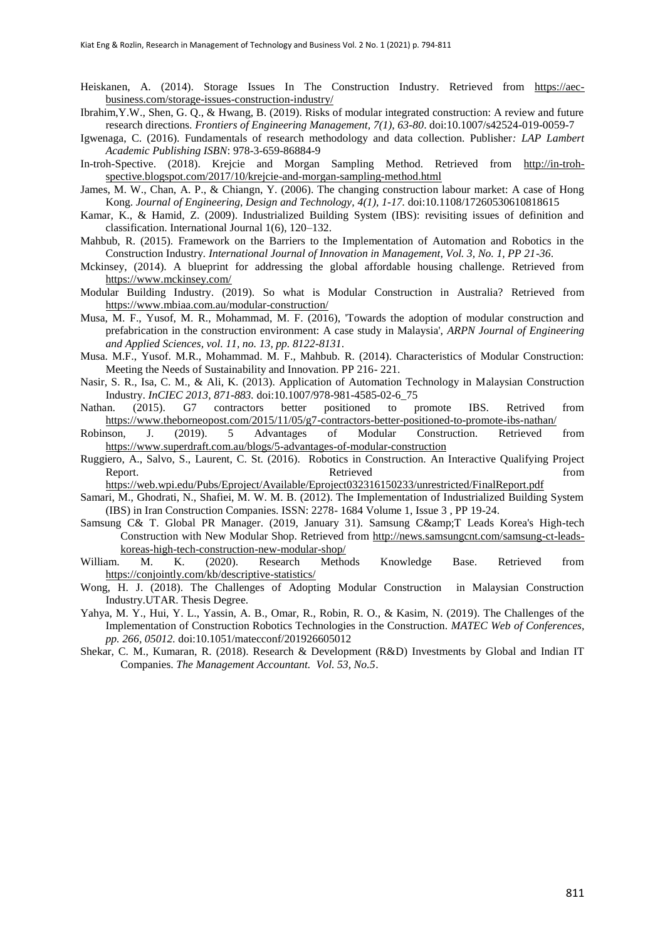Heiskanen, A. (2014). Storage Issues In The Construction Industry. Retrieved from [https://aec](https://aec-business.com/storage-issues-construction-industry/)[business.com/storage-issues-construction-industry/](https://aec-business.com/storage-issues-construction-industry/)

- Ibrahim,Y.W., Shen, G. Q., & Hwang, B. (2019). Risks of modular integrated construction: A review and future research directions. *Frontiers of Engineering Management, 7(1), 63-80*. doi:10.1007/s42524-019-0059-7
- Igwenaga, C. (2016). Fundamentals of research methodology and data collection. Publisher*: LAP Lambert Academic Publishing ISBN*: 978-3-659-86884-9
- In-troh-Spective. (2018). Krejcie and Morgan Sampling Method. Retrieved from [http://in-troh](http://in-troh-spective.blogspot.com/2017/10/krejcie-and-morgan-sampling-method.html)[spective.blogspot.com/2017/10/krejcie-and-morgan-sampling-method.html](http://in-troh-spective.blogspot.com/2017/10/krejcie-and-morgan-sampling-method.html)
- James, M. W., Chan, A. P., & Chiangn, Y. (2006). The changing construction labour market: A case of Hong Kong. *Journal of Engineering, Design and Technology, 4(1), 1-17.* doi:10.1108/17260530610818615
- Kamar, K., & Hamid, Z. (2009). Industrialized Building System (IBS): revisiting issues of definition and classification. International Journal 1(6), 120–132.
- Mahbub, R. (2015). Framework on the Barriers to the Implementation of Automation and Robotics in the Construction Industry*. International Journal of Innovation in Management, Vol. 3, No. 1, PP 21-36*.
- Mckinsey, (2014). A blueprint for addressing the global affordable housing challenge. Retrieved from <https://www.mckinsey.com/>
- Modular Building Industry. (2019). So what is Modular Construction in Australia? Retrieved from <https://www.mbiaa.com.au/modular-construction/>
- Musa, M. F., Yusof, M. R., Mohammad, M. F. (2016), 'Towards the adoption of modular construction and prefabrication in the construction environment: A case study in Malaysia', *ARPN Journal of Engineering and Applied Sciences, vol. 11, no. 13, pp. 8122-8131*.
- Musa. M.F., Yusof. M.R., Mohammad. M. F., Mahbub. R. (2014). Characteristics of Modular Construction: Meeting the Needs of Sustainability and Innovation. PP 216- 221.
- Nasir, S. R., Isa, C. M., & Ali, K. (2013). Application of Automation Technology in Malaysian Construction Industry. *InCIEC 2013, 871-883.* doi:10.1007/978-981-4585-02-6\_75
- Nathan. (2015). G7 contractors better positioned to promote IBS. Retrived from <https://www.theborneopost.com/2015/11/05/g7-contractors-better-positioned-to-promote-ibs-nathan/>
- Robinson, J. (2019). 5 Advantages of Modular Construction. Retrieved from <https://www.superdraft.com.au/blogs/5-advantages-of-modular-construction>
- Ruggiero, A., Salvo, S., Laurent, C. St. (2016). Robotics in Construction. An Interactive Qualifying Project Report. Retrieved from

<https://web.wpi.edu/Pubs/Eproject/Available/Eproject032316150233/unrestricted/FinalReport.pdf>

- Samari, M., Ghodrati, N., Shafiei, M. W. M. B. (2012). The Implementation of Industrialized Building System (IBS) in Iran Construction Companies. ISSN: 2278- 1684 Volume 1, Issue 3 , PP 19-24.
- Samsung C& T. Global PR Manager. (2019, January 31). Samsung C& T Leads Korea's High-tech Construction with New Modular Shop. Retrieved from [http://news.samsungcnt.com/samsung-ct-leads](http://news.samsungcnt.com/samsung-ct-leads-koreas-high-tech-construction-new-modular-shop/)[koreas-high-tech-construction-new-modular-shop/](http://news.samsungcnt.com/samsung-ct-leads-koreas-high-tech-construction-new-modular-shop/)
- William. M. K. (2020). Research Methods Knowledge Base. Retrieved from <https://conjointly.com/kb/descriptive-statistics/>
- Wong, H. J. (2018). The Challenges of Adopting Modular Construction in Malaysian Construction Industry.UTAR. Thesis Degree.
- Yahya, M. Y., Hui, Y. L., Yassin, A. B., Omar, R., Robin, R. O., & Kasim, N. (2019). The Challenges of the Implementation of Construction Robotics Technologies in the Construction. *MATEC Web of Conferences, pp. 266, 05012.* doi:10.1051/matecconf/201926605012
- Shekar, C. M., Kumaran, R. (2018). Research & Development (R&D) Investments by Global and Indian IT Companies. *The Management Accountant. Vol. 53, No.5*.